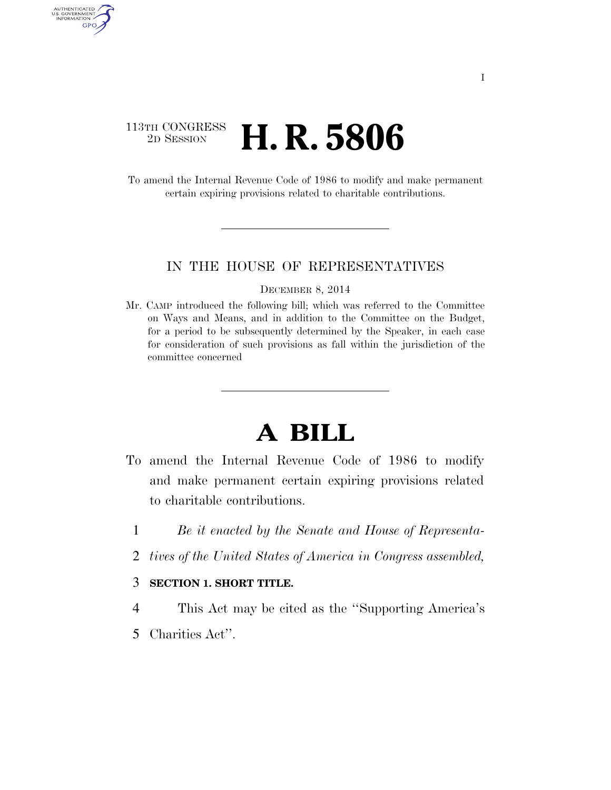# 113TH CONGRESS <sup>2D SESSION</sup> **H. R. 5806**

AUTHENTICATED U.S. GOVERNMENT GPO

> To amend the Internal Revenue Code of 1986 to modify and make permanent certain expiring provisions related to charitable contributions.

### IN THE HOUSE OF REPRESENTATIVES

#### DECEMBER 8, 2014

Mr. CAMP introduced the following bill; which was referred to the Committee on Ways and Means, and in addition to the Committee on the Budget, for a period to be subsequently determined by the Speaker, in each case for consideration of such provisions as fall within the jurisdiction of the committee concerned

# **A BILL**

- To amend the Internal Revenue Code of 1986 to modify and make permanent certain expiring provisions related to charitable contributions.
	- 1 *Be it enacted by the Senate and House of Representa-*
	- 2 *tives of the United States of America in Congress assembled,*

## 3 **SECTION 1. SHORT TITLE.**

- 4 This Act may be cited as the ''Supporting America's
- 5 Charities Act''.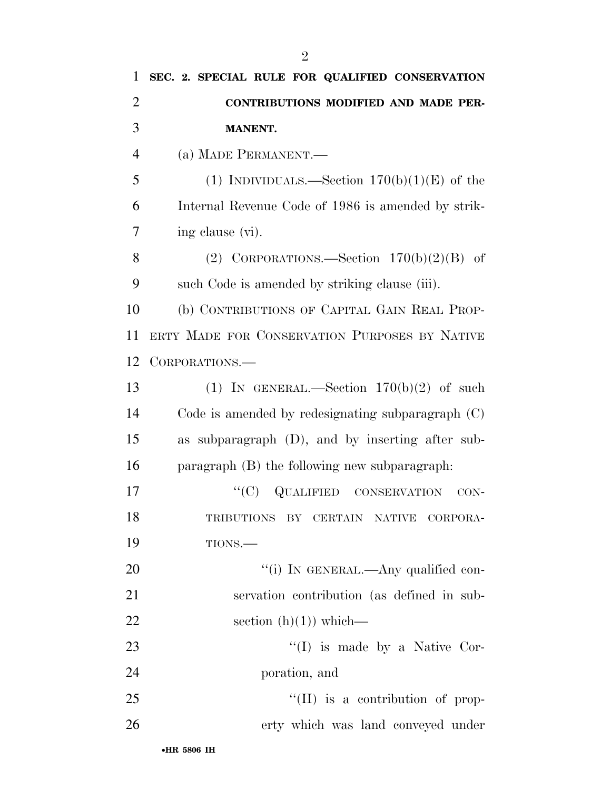| CONTRIBUTIONS MODIFIED AND MADE PER-<br><b>MANENT.</b><br>(a) MADE PERMANENT.—<br>(1) INDIVIDUALS.—Section $170(b)(1)(E)$ of the<br>Internal Revenue Code of 1986 is amended by strik-<br>ing clause (vi).<br>(2) CORPORATIONS.—Section $170(b)(2)(B)$ of<br>such Code is amended by striking clause (iii).<br>(b) CONTRIBUTIONS OF CAPITAL GAIN REAL PROP- |
|-------------------------------------------------------------------------------------------------------------------------------------------------------------------------------------------------------------------------------------------------------------------------------------------------------------------------------------------------------------|
|                                                                                                                                                                                                                                                                                                                                                             |
|                                                                                                                                                                                                                                                                                                                                                             |
|                                                                                                                                                                                                                                                                                                                                                             |
|                                                                                                                                                                                                                                                                                                                                                             |
|                                                                                                                                                                                                                                                                                                                                                             |
|                                                                                                                                                                                                                                                                                                                                                             |
|                                                                                                                                                                                                                                                                                                                                                             |
|                                                                                                                                                                                                                                                                                                                                                             |
|                                                                                                                                                                                                                                                                                                                                                             |
| ERTY MADE FOR CONSERVATION PURPOSES BY NATIVE                                                                                                                                                                                                                                                                                                               |
| CORPORATIONS.                                                                                                                                                                                                                                                                                                                                               |
| (1) IN GENERAL.—Section $170(b)(2)$ of such                                                                                                                                                                                                                                                                                                                 |
| Code is amended by redesignating subparagraph $(C)$                                                                                                                                                                                                                                                                                                         |
| as subparagraph $(D)$ , and by inserting after sub-                                                                                                                                                                                                                                                                                                         |
| paragraph (B) the following new subparagraph.                                                                                                                                                                                                                                                                                                               |
| ``(C)<br><b>QUALIFIED CONSERVATION</b><br>$CON-$                                                                                                                                                                                                                                                                                                            |
| <b>TRIBUTIONS</b><br>BY CERTAIN NATIVE CORPORA-                                                                                                                                                                                                                                                                                                             |
| TIONS.                                                                                                                                                                                                                                                                                                                                                      |
| "(i) IN GENERAL.—Any qualified con-                                                                                                                                                                                                                                                                                                                         |
| servation contribution (as defined in sub-                                                                                                                                                                                                                                                                                                                  |
| section $(h)(1)$ which—                                                                                                                                                                                                                                                                                                                                     |
| $\lq\lq$ (I) is made by a Native Cor-                                                                                                                                                                                                                                                                                                                       |
| poration, and                                                                                                                                                                                                                                                                                                                                               |
| "(II) is a contribution of prop-                                                                                                                                                                                                                                                                                                                            |
| erty which was land conveyed under                                                                                                                                                                                                                                                                                                                          |
|                                                                                                                                                                                                                                                                                                                                                             |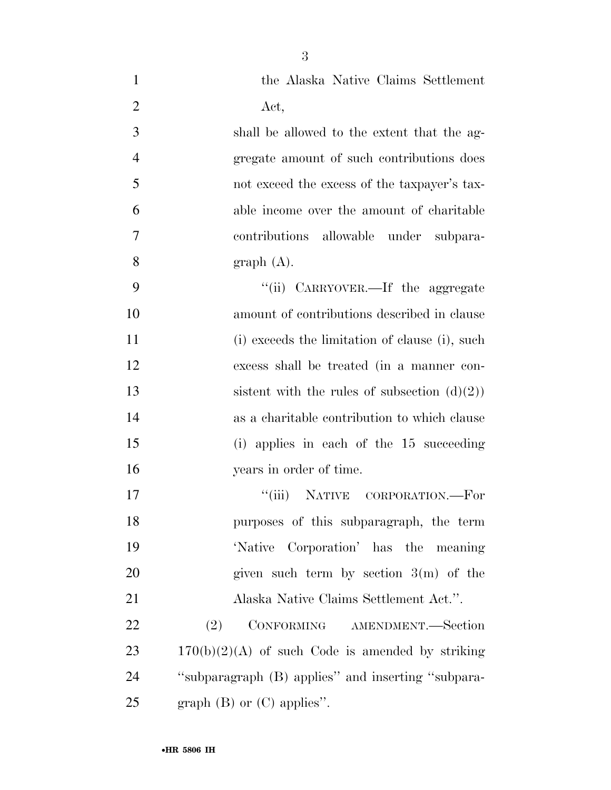| $\mathbf{1}$   | the Alaska Native Claims Settlement                |
|----------------|----------------------------------------------------|
| $\overline{2}$ | Act,                                               |
| 3              | shall be allowed to the extent that the ag-        |
| $\overline{4}$ | gregate amount of such contributions does          |
| 5              | not exceed the excess of the taxpayer's tax-       |
| 6              | able income over the amount of charitable          |
| 7              | contributions allowable under subpara-             |
| 8              | graph(A).                                          |
| 9              | "(ii) CARRYOVER.—If the aggregate                  |
| 10             | amount of contributions described in clause        |
| 11             | (i) exceeds the limitation of clause (i), such     |
| 12             | excess shall be treated (in a manner con-          |
| 13             | sistent with the rules of subsection $(d)(2)$      |
| 14             | as a charitable contribution to which clause       |
| 15             | (i) applies in each of the 15 succeeding           |
| 16             | years in order of time.                            |
| 17             | "(iii) NATIVE CORPORATION.—For                     |
| 18             | purposes of this subparagraph, the term            |
| 19             | 'Native Corporation' has the meaning               |
| 20             | given such term by section $3(m)$ of the           |
| 21             | Alaska Native Claims Settlement Act.".             |
| 22             | CONFORMING AMENDMENT.-Section<br>(2)               |
| 23             | $170(b)(2)(A)$ of such Code is amended by striking |
| 24             | "subparagraph (B) applies" and inserting "subpara- |
| 25             | graph $(B)$ or $(C)$ applies".                     |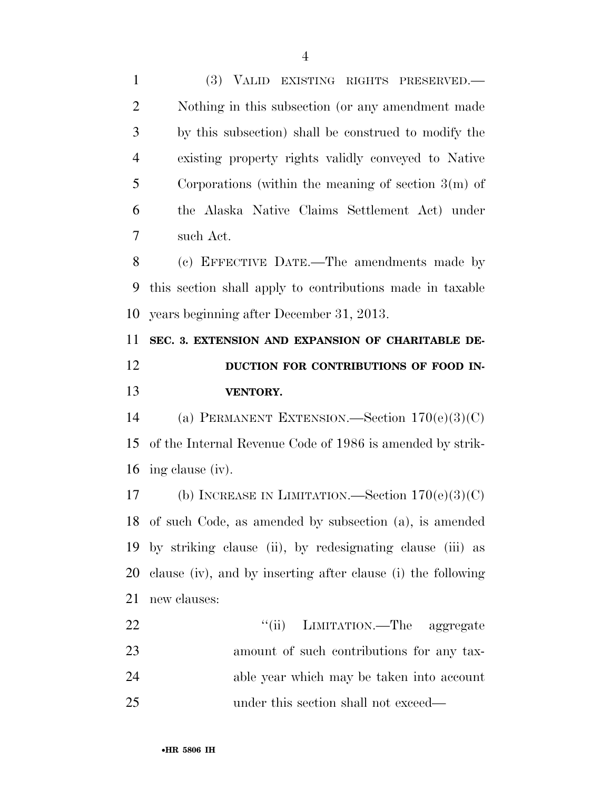(3) VALID EXISTING RIGHTS PRESERVED.— Nothing in this subsection (or any amendment made by this subsection) shall be construed to modify the existing property rights validly conveyed to Native Corporations (within the meaning of section 3(m) of the Alaska Native Claims Settlement Act) under such Act. (c) EFFECTIVE DATE.—The amendments made by this section shall apply to contributions made in taxable years beginning after December 31, 2013. **SEC. 3. EXTENSION AND EXPANSION OF CHARITABLE DE-DUCTION FOR CONTRIBUTIONS OF FOOD IN- VENTORY.**  (a) PERMANENT EXTENSION.—Section 170(e)(3)(C) of the Internal Revenue Code of 1986 is amended by strik- ing clause (iv). (b) INCREASE IN LIMITATION.—Section 170(e)(3)(C) of such Code, as amended by subsection (a), is amended by striking clause (ii), by redesignating clause (iii) as clause (iv), and by inserting after clause (i) the following new clauses: 22 ''(ii) LIMITATION.—The aggregate amount of such contributions for any tax- able year which may be taken into account under this section shall not exceed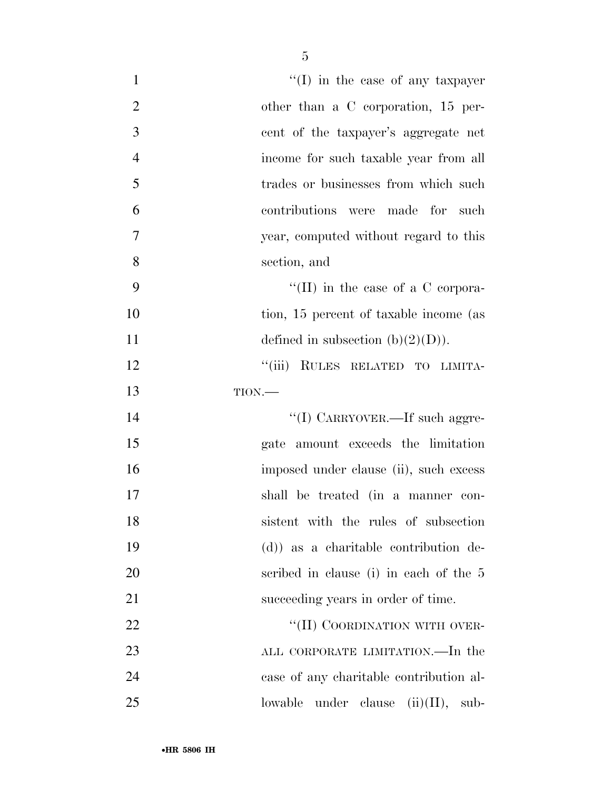| $\mathbf{1}$   | $\lq\lq$ (I) in the case of any taxpayer       |
|----------------|------------------------------------------------|
| $\overline{2}$ | other than a C corporation, 15 per-            |
| 3              | cent of the taxpayer's aggregate net           |
| $\overline{4}$ | income for such taxable year from all          |
| 5              | trades or businesses from which such           |
| 6              | contributions were made for such               |
| 7              | year, computed without regard to this          |
| 8              | section, and                                   |
| 9              | "(II) in the case of a C corpora-              |
| 10             | tion, 15 percent of taxable income (as         |
| 11             | defined in subsection $(b)(2)(D)$ .            |
| 12             | "(iii) RULES RELATED TO LIMITA-                |
| 13             | TION.                                          |
| 14             | $\lq\lq(\mathrm{I})$ CARRYOVER.—If such aggre- |
| 15             | gate amount exceeds the limitation             |
| 16             | imposed under clause (ii), such excess         |
| 17             | shall be treated (in a manner con-             |
| 18             | sistent with the rules of subsection           |
| 19             | $(d)$ as a charitable contribution de-         |
| <b>20</b>      | scribed in clause (i) in each of the 5         |
| 21             | succeeding years in order of time.             |
| 22             | "(II) COORDINATION WITH OVER-                  |
| 23             | ALL CORPORATE LIMITATION.—In the               |
| 24             | case of any charitable contribution al-        |
| 25             | under clause $(ii)(II)$ ,<br>lowable<br>sub-   |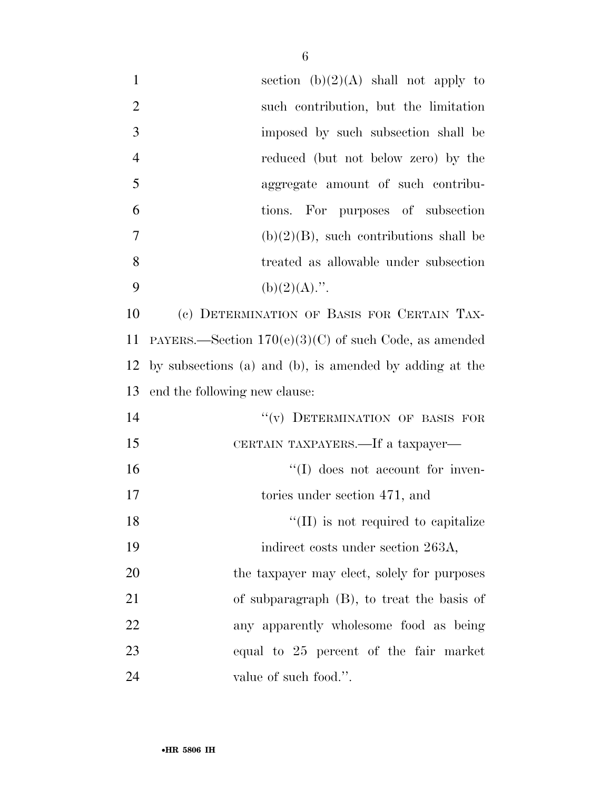| $\mathbf{1}$   | section $(b)(2)(A)$ shall not apply to                  |
|----------------|---------------------------------------------------------|
| $\overline{2}$ | such contribution, but the limitation                   |
| 3              | imposed by such subsection shall be                     |
| $\overline{4}$ | reduced (but not below zero) by the                     |
| 5              | aggregate amount of such contribu-                      |
| 6              | tions. For purposes of subsection                       |
| 7              | $(b)(2)(B)$ , such contributions shall be               |
| 8              | treated as allowable under subsection                   |
| 9              | $(b)(2)(A)$ .".                                         |
| 10             | (c) DETERMINATION OF BASIS FOR CERTAIN TAX-             |
| 11             | PAYERS.—Section $170(e)(3)(C)$ of such Code, as amended |
| 12             | by subsections (a) and (b), is amended by adding at the |
| 13             | end the following new clause:                           |
| 14             | "(v) DETERMINATION OF BASIS FOR                         |
| 15             | CERTAIN TAXPAYERS.—If a taxpayer—                       |
| 16             | $\lq\lq$ (I) does not account for inven-                |
| 17             | tories under section 471, and                           |
| 18             | $\lq\lq$ (II) is not required to capitalize             |
| 19             | indirect costs under section 263A,                      |
| $20\,$         | the taxpayer may elect, solely for purposes             |
| 21             | of subparagraph $(B)$ , to treat the basis of           |
| 22             | any apparently wholesome food as being                  |
| 23             | equal to 25 percent of the fair market                  |
| 24             | value of such food.".                                   |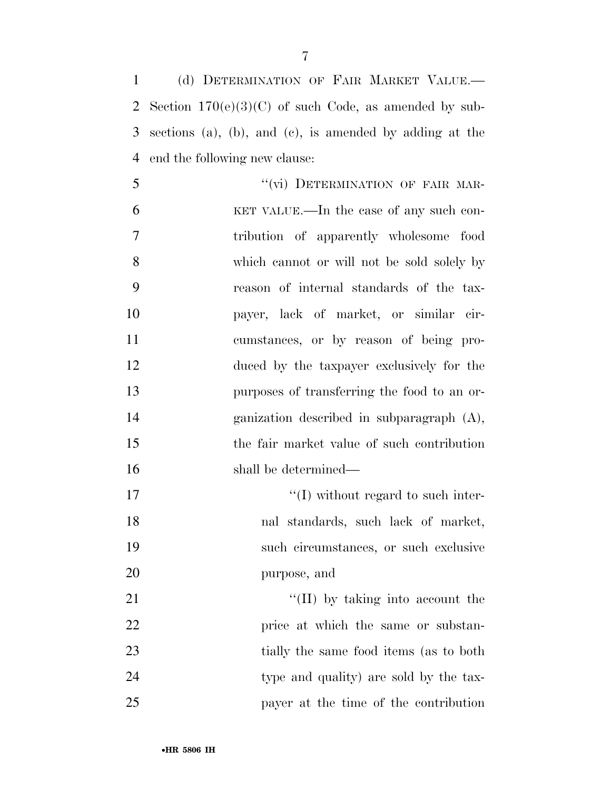(d) DETERMINATION OF FAIR MARKET VALUE.— Section 170(e)(3)(C) of such Code, as amended by sub- sections (a), (b), and (c), is amended by adding at the end the following new clause:

5 "(vi) DETERMINATION OF FAIR MAR- KET VALUE.—In the case of any such con- tribution of apparently wholesome food which cannot or will not be sold solely by reason of internal standards of the tax- payer, lack of market, or similar cir- cumstances, or by reason of being pro- duced by the taxpayer exclusively for the purposes of transferring the food to an or- ganization described in subparagraph (A), the fair market value of such contribution 16 shall be determined— 17 ''(I) without regard to such inter-

 nal standards, such lack of market, such circumstances, or such exclusive purpose, and 21 ''(II) by taking into account the

22 price at which the same or substan-23 tially the same food items (as to both 24 type and quality) are sold by the tax-payer at the time of the contribution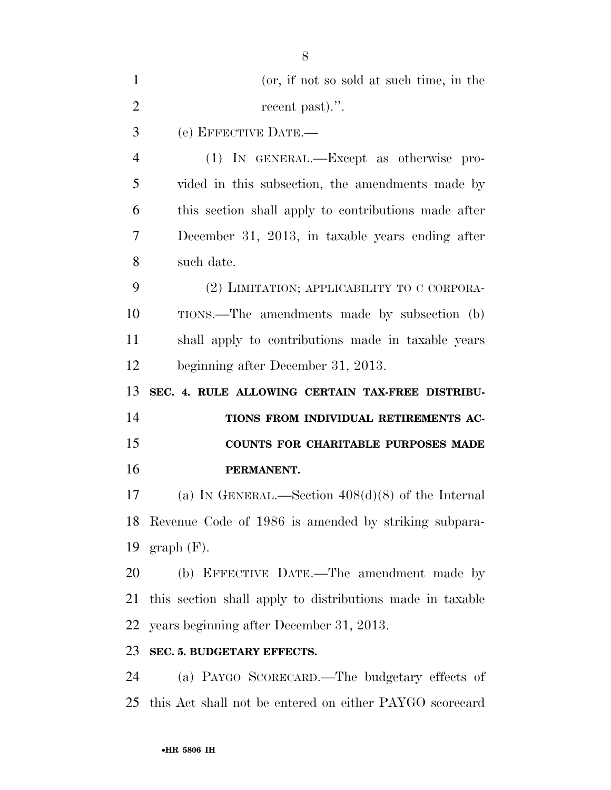| $\mathbf{1}$   | (or, if not so sold at such time, in the                  |
|----------------|-----------------------------------------------------------|
| $\overline{2}$ | recent past).".                                           |
| 3              | (e) EFFECTIVE DATE.-                                      |
| $\overline{4}$ | (1) IN GENERAL.—Except as otherwise pro-                  |
| 5              | vided in this subsection, the amendments made by          |
| 6              | this section shall apply to contributions made after      |
| 7              | December 31, 2013, in taxable years ending after          |
| 8              | such date.                                                |
| 9              | (2) LIMITATION; APPLICABILITY TO C CORPORA-               |
| 10             | TIONS.—The amendments made by subsection (b)              |
| 11             | shall apply to contributions made in taxable years        |
| 12             | beginning after December 31, 2013.                        |
|                |                                                           |
| 13             | SEC. 4. RULE ALLOWING CERTAIN TAX-FREE DISTRIBU-          |
| 14             | TIONS FROM INDIVIDUAL RETIREMENTS AC-                     |
| 15             | <b>COUNTS FOR CHARITABLE PURPOSES MADE</b>                |
| 16             | PERMANENT.                                                |
| 17             | (a) IN GENERAL.—Section $408(d)(8)$ of the Internal       |
|                | 18 Revenue Code of 1986 is amended by striking subpara-   |
| 19             | $graph(F)$ .                                              |
| 20             | (b) EFFECTIVE DATE.—The amendment made by                 |
| 21             | this section shall apply to distributions made in taxable |
| 22             | years beginning after December 31, 2013.                  |
| 23             | SEC. 5. BUDGETARY EFFECTS.                                |
| 24             | (a) PAYGO SCORECARD.—The budgetary effects of             |